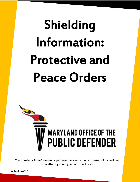# Shielding Information: Protective and Peace Orders



This booklet is for informational purposes only and is not a substitute for speaking to an attorney about your individual case.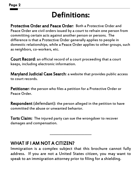## Definitions:

Protective Order and Peace Order: Both a Protective Order and Peace Order are civil orders issued by a court to refrain one person from committing certain acts against another person or persons. The difference is that a **Protective Order** generally applies to people in domestic relationships, while a Peace Order applies to other groups, such as neighbors, co-workers, etc.

Court Record: an official record of a court proceeding that a court keeps, including electronic information.

**Maryland Judicial Case Search:** a website that provides public access to court records.

Petitioner: the person who files a petition for a Protective Order or Peace Order.

**Respondent** (defendant): the person alleged in the petition to have committed the abuse or unwanted behavior.

Torts Claim: The injured party can sue the wrongdoer to recover damages and compensation.

## WHAT IF I AM NOT A CITIZEN?

Immigration is a complex subject that this brochure cannot fully address. If you are not a United States citizen, you may want to speak to an immigration attorney prior to filing for a shielding.

 $\mathcal{L}=\mathcal{L}^{\mathcal{L}}$  , where  $\mathcal{L}^{\mathcal{L}}$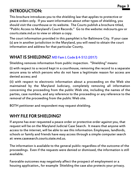## INTRODUCTION:

This brochure introduces you to the shielding law that applies to protective or peace orders only. If you want information about other types of shielding, you should visit the courthouse or its website. The Courts publish a brochure titled, "Public Access to Maryland's Court Records." Go to the website: mdcourts.gov or courts.state.md.us to view or obtain a copy.

The court information provided in this pamphlet is for Baltimore City. If your case (s) are in another jurisdiction in the Maryland, you will need to obtain the court information and address for that particular County.

## WHAT IS SHIELDING? [MD Fam L Code § 4-512 \(2017\)](https://law.justia.com/codes/maryland/2017/family-law/title-4/subtitle-5/part-ii/section-4-512/)

Shielding removes information from public inspection. "Shielding" means:

(i) with respect to a record kept in a courthouse, removing the record to a separate secure area to which persons who do not have a legitimate reason for access are denied access; and

(ii) with respect to electronic information about a proceeding on the Web site maintained by the Maryland Judiciary, completely removing all information concerning the proceeding from the public Web site, including the names of the parties, case numbers, and any reference to the proceeding or any reference to the removal of the proceeding from the public Web site.

BOTH petitioner and respondent may request shielding.

## WHY FILE FOR SHIELDING?

If anyone has ever requested a peace order or protective order against you, that request will be on the Maryland Judicial Case Search. It means that anyone with access to the internet, will be able to see this information. Employees, landlords, schools or family and friends have easy access through a simple computer search at: www.casesearch.courts.state.md.us.

The information is available to the general public regardless of the outcome of the proceedings. Even if the requests were denied or dismissed, the information is still available.

Favorable outcomes may negatively affect the prospect of employment or a housing application., for example Shielding the case also protects your privacy.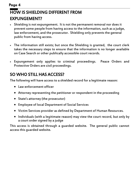## HOW IS SHIELDING DIFFERENT FROM EXPUNGEMENT? Page 4

- Shielding is not expungement. It is not the permanent removal nor does it prevent some people from having access to the information, such as a judge, law enforcement, and the prosecutor. Shielding only prevents the general public from having access.
- The information still exists; but once the Shielding is granted, the court clerk takes the necessary steps to ensure that the information is no longer available on Case Search or other publically accessible court records.
- Expungement only applies to criminal proceedings. Peace Orders and Protective Orders are civil proceedings.

## SO WHO STILL HAS ACCESS?

The following will have access to a shielded record for a legitimate reason:

- Law enforcement officer
- Attorney representing the petitioner or respondent in the proceeding
- State's attorney (the prosecutor)
- Employee of local Department of Social Services
- Victim Services provider as defined by Department of Human Resources.
- Individuals (with a legitimate reason) may view the court record, but only by a court order signed by a judge

This access is obtained through a guarded website. The general public cannot access this guarded website.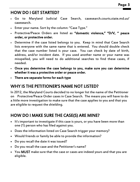## HOW DO I GET STARTED?

- Go to Maryland Judicial Case Search, [casesearch.courts.state.md.us/](http://casesearch.courts.state.md.us/casesearch/) [casesearch.](http://casesearch.courts.state.md.us/casesearch/)
- Enter your name. Sort by the column: "Case Type."
- Protective/Peace Orders are listed as "domestic violence," "D/V, " peace order, or protective order.
- Determine if the case listed belongs to you. Keep in mind that Case Search lists everyone with the same name that is entered. You should double check that the case number listed is your case. You can check by date of birth, address, and/or incident date. If you used another name or your name was misspelled, you will need to do additional searches to find these cases, if needed.
- Once you determine the case belongs to you, make sure you can determine whether it was a protective order or peace order.
- There are separate forms for each type

## WHY IS THE PETITIONER'S NAME NOT LISTED?

In 2012, the Maryland Courts decided to no longer list the name of the Petitioner on Protective/Peace Order cases in Case Search. The means you will have to do a little more investigation to make sure that the case applies to you and that you are eligible to request the shielding.

## HOW DO I MAKE SURE THE CASE(S) ARE MINE?

- It's important to investigate if this case is yours, or you have been more than one (1) person who has filed against you.
- Does the information listed on Case Search trigger your memory?
- Would friends or family be able to provide the information?
- Do you recall the date it was issued?
- Do you recall the case and the Petitioner's name?
- You **MUST** make sure that the case or cases are indeed yours and that you are eligible.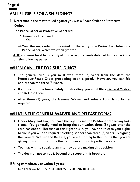## AM I ELIGIBLE FOR A SHIELDING? **Page 6**

- Determine if the matter filed against you was a Peace Order or Protective Order.
- 1. The Peace Order or Protective Order was

 $\rightarrow$  Denied or Dismissed OR

 $\rightarrow$  You, the respondent, consented to the entry of a Protective Order or a Peace Order, which was then granted.

3. AND you must be able to satisfy all of the requirements detailed in the checklists on the following pages.

## WHEN CAN I FILE FOR SHIELDING?

- The general rule is you must wait three (3) years from the date the Protective/Peace Order proceeding itself expired. However, you can file earlier than the three (3) years.
- . If you want to file immediately for shielding, you must file a General Waiver and Release Form.
- After three (3) years, the General Waiver and Release Form is no longer required.

## WHAT IS THE GENERAL WAIVER AND RELEASE FORM?

- Under Maryland Law, you have the right to sue the Petitioner regarding torts claim. You generally need to bring this suit within three (3) years after the case has ended. Because of this right to sue, you have to release your rights to sue if you wish to request shielding sooner than three (3) years. By signing the General Waiver and Release, you are affirming to the Courts that you are giving up your rights to sue the Petitioner about this particular case.
- You may wish to speak to an attorney before making this decision.
- The decision not to sue is beyond the scope of this brochure.

#### If filing immediately or within 3 years:

Use [Form CC-DC-077:](https://courts.state.md.us/sites/default/files/court-forms/courtforms/joint/ccdc077.pdf/ccdc077.pdf) GENERAL WAIVER AND RELEASE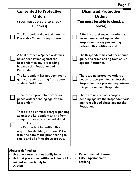|                                                                                                 | <b>Consented to Protective</b><br><b>Orders</b><br>(You must be able to check<br>all boxes)                                                                                                                                                                                                       |                  | <b>Dismissed Protective</b><br><b>Orders</b><br>(You must be able to check all<br>boxes)                                                      |
|-------------------------------------------------------------------------------------------------|---------------------------------------------------------------------------------------------------------------------------------------------------------------------------------------------------------------------------------------------------------------------------------------------------|------------------|-----------------------------------------------------------------------------------------------------------------------------------------------|
|                                                                                                 | The Respondent did not violate the<br>Protective Order during its term.                                                                                                                                                                                                                           |                  | A final protective/peace order has<br>never been issued against the<br>Respondent in any proceeding<br>between this Petitioner and            |
|                                                                                                 | A final protective/peace order has<br>never been issued against the<br>Respondent in any proceeding<br>between this Petitioner and<br>Respondent.                                                                                                                                                 |                  | The Respondent has not been found<br>guilty of a crime arising from abuse<br>against Petitioner.                                              |
|                                                                                                 | The Respondent has not been found<br>guilty of a crime arising from abuse<br>against Petitioner.                                                                                                                                                                                                  |                  | There are no protective orders or<br>peace orders pending against the<br>Respondent in a proceeding between<br>this petitioner and Respondent |
|                                                                                                 | There are no protective orders or<br>peace orders pending against the<br>Respondent.                                                                                                                                                                                                              |                  | There are no criminal charges<br>pending against the Respondent aris-<br>ing from alleged abuse against the<br>Petitioner.                    |
|                                                                                                 | There are no criminal charges pending<br>against the Respondent arising from<br>alleged abuse against an individual<br><b>OR</b><br>The Respondent has refiled this<br>request for shielding after one (1) year<br>from the date of the prior hearing to<br>shield and all of the above are true. |                  |                                                                                                                                               |
| Abuse is defined as:<br>Rape or sexual offense<br>Act that causes serious bodily harm<br>$\ast$ |                                                                                                                                                                                                                                                                                                   |                  |                                                                                                                                               |
| $\ast$                                                                                          | Act that places the petitioner in fear of im-<br>minent serious bodily harm<br><b>Assault</b>                                                                                                                                                                                                     | $\ast$<br>$\ast$ | <b>False imprisonment</b><br><b>Stalking</b>                                                                                                  |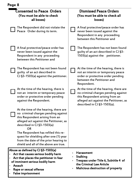| Page 8                                                                                                                                                                                                                                                                            |                                                                                                                                                                                          |
|-----------------------------------------------------------------------------------------------------------------------------------------------------------------------------------------------------------------------------------------------------------------------------------|------------------------------------------------------------------------------------------------------------------------------------------------------------------------------------------|
| <b>Consented to Peace Orders</b><br>(You must be able to check<br>all boxes)                                                                                                                                                                                                      | <b>Dismissed Peace Orders</b><br>(You must be able to check all<br>boxes)                                                                                                                |
| The Respondent did not violate the<br>Peace Order during its term.                                                                                                                                                                                                                | A final protective/peace order has<br>never been issued against the<br>Respondent in any proceeding<br>between this Petitioner and                                                       |
| A final protective/peace order has<br>never been issued against the<br>Respondent in any proceeding<br>between this Petitioner and                                                                                                                                                | The Respondent has not been found<br>quilty of an act described in CJ §3-<br>1503(a) against the petitioner.                                                                             |
| The Respondent has not been found<br>guilty of an act described in<br>CJ §3-1503(a) against the petitioner.                                                                                                                                                                       | At the time of the hearing, there is<br>not an interim or temporary peace<br>order or protective order pending<br>between the Petitioner and<br>Respondent.                              |
| At the time of the hearing, there is<br>not an interim or temporary peace<br>order or protective order pending<br>against the Respondent.                                                                                                                                         | At the time of the hearing, there are<br>no criminal charges pending against<br>this Respondent arising from an<br>alleged act against the Petitioner, as<br>described in CJ §3-1503(a). |
| At the time of the hearing, there are<br>no criminal charges pending against<br>this Respondent arising from an<br>alleged act against the Petitioner, as<br>described in CJ §3-1503(a)<br><b>OR</b>                                                                              |                                                                                                                                                                                          |
| The Respondent has refiled this re-<br>quest for shielding after one (1) year<br>from the date of the prior hearing to<br>shield and all of the above are true.                                                                                                                   |                                                                                                                                                                                          |
| Abuse as defined by CJ §3-1503(a)<br>Act that causes serious bodily harm<br>$\ast$<br>Act that places the petitioner in fear<br>$\ast$<br>of imminent serious bodily harm<br><b>Assault</b><br>$\star$<br>Rape or sexual offense<br>$\ast$<br><b>False imprisonment</b><br>$\ast$ | <b>Harassment</b><br><b>Stalking</b><br>$\ast$<br>Trespass under Title 6, Subtitle 4 of<br>$\ast$<br>the Criminal Law Article<br>Malicious destruction of property<br>$\ast$             |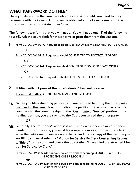## WHAT PAPERWORK DO I FILE?

Once you determine that you have eligible case(s) to shield, you need to file your request(s) with the Courts. Forms can be obtained at the Courthouse or on the Court's website: courts.state.md.us/courtforms

The following are forms that you will need. You will need one (1) of the following four (4). Ask the court clerk for these forms or print them from the website.

[Form CC-DC-DV-021A:](https://courts.state.md.us/sites/default/files/court-forms/courtforms/joint/ccdcdv021a.pdf/ccdcdv021a.pdf) Request to shield DENIED OR DISMISSED PROTECTIVE ORDER 1.

OR

[Form CC-DC-DV-021B:](https://courts.state.md.us/sites/default/files/court-forms/courtforms/joint/ccdcdv021b.pdf/ccdcdv021b.pdf) Request to shield CONSENTED TO PROTECTIVE ORDER

OR

[Form CC-DC-PO-016A:](https://courts.state.md.us/sites/default/files/court-forms/courtforms/joint/ccdcpo016a.pdf/ccdcpo016a.pdf) Request to shield DENIED OR DISMISSED PEACE ORDER

OR

[Form CC-DC-PO-016B:](https://courts.state.md.us/sites/default/files/court-forms/courtforms/joint/ccdcpo016b.pdf/ccdcpo016b.pdf) Request to shield CONSENTED TO PEACE ORDER

#### If filing within 3 years of the order's denial/dismissal or order: 2.

[Form CC-DC-077:](https://courts.state.md.us/sites/default/files/court-forms/courtforms/joint/ccdc077.pdf/ccdc077.pdf) GENERAL WAIVER AND RELEASE

When you file a shielding petition, you are required to notify the other party 3A. involved in the case. You must deliver the petition to the other party before you file with the court. By signing the "Certificate of Service" portion of the sealing petition, you are saying to the Court you served the other party.

#### OR

3B. Generally, the Petitioner's address is not listed on case search or court documents. If this is the case, you must file a separate motion for the court clerk to serve the Petitioner. If you are not able to hand them a copy of the petition you are filing, you must submit a "Motion for Service By Clerk Concerning Request to Shield" to the court and check the box stating "I have filed the attached Motion for Service by Clerk."

Form CC-DC-DV-025: Motion for service by clerk concerning REQUEST TO SHIELD PROTECTIVE ORDER RECORDS

OR

Form CC-DC-PO-019: Motion for service by clerk concerning REQUEST TO SHIELD PEACE ORDER RECORDS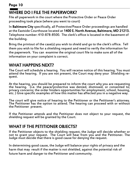#### **Page 10**

## WHERE DO I FILE THE PAPERWORK?

File all paperwork in the court where the Protective Order or Peace Order proceeding took place (where you went to court)

In Baltimore City specifically, all Protective/Peace Order proceedings are handled at the Eastside Courthouse located at 1400 E. North Avenue, Baltimore, MD 21213. Telephone number: 410-878-8500. The clerk's office is located in the basement of the building.

Bring the printout of the case(s) you wish to shield and go to the clerk's office. Tell them you wish to file for a shielding request and need to verify the information for the paperwork. You can examine the original court file to make sure all of the information on your complaint is correct.

## WHAT HAPPENS NEXT?

The Court will schedule a hearing. You will receive notice of this hearing. You must attend the hearing. If you are not present, the Court may deny your Shielding request.

At the hearing, you should be prepared to inform the court why you are requesting the hearing. (i.e. the peace/protective was denied, dismissed, or consented to; privacy concerns; the order hinders opportunities for employment, school, housing, etc. ) Give specific examples of how this matter has affected you in a negative way.

The court will give notice of hearing to the Petitioner or the Petitioner's attorney. The Petitioner has the option to attend. The hearing can proceed with or without the Petitioner present.

If the Petitioner attends and the Petitioner does not object to your request, the shielding request will be granted by the Court.

## WHAT IF THE PETITIONER OBJECTS?

If the Petitioner objects to the shielding request, the Judge will decide whether or not to grant your request. The Court will hear from you and the Petitioner. The Judge must decide that there is good cause for denying the request.

In determining good cause, the Judge will balance your rights of privacy and the harm that may result if the matter is not shielded, against the potential risk of future harm and danger to the Petitioner and community.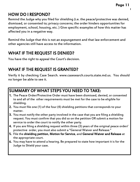## HOW DO I RESPOND?

Remind the Judge why you filed for shielding (i.e. the peace/protective was denied, dismissed, or consented to; privacy concerns; the order hinders opportunities for employment, school, housing, etc. ) Give specific examples of how this matter has affected you in a negative way.

Remind the Judge that this is not an expungement and that law enforcement and other agencies still have access to the information.

## WHAT IF THE REQUEST IS DENIED?

You have the right to appeal the Court's decision.

## WHAT IF THE REQUEST IS GRANTED?

Verify it by checking Case Search. www.casesearch.courts.state.md.us. You should no longer be able to see it.

## SUMMARY OF WHAT STEPS YOU NEED TO TAKE:

- 1. The Peace Order/Protective Order must have been dismissed, denied, or consented to and all of the other requirements must be met for the case to be eligible for shielding.
- 2. You must file one (1) of the four (4) shielding petitions that corresponds to your matter.
- 3. You must notify the other party involved in the case that you are filing a shielding request. You must confirm that you did so on the petition OR submit a motion for service to order the court to notify the other party.
- 4. If you are filing a shielding request within three (3) years of the original peace order/ protective order, you must also submit a "General Waiver and Release."
- 5. File the shielding petition, Motion for Service, and General Waiver and Release at the appropriate court.
- 6. You may have to attend a hearing. Be prepared to state how important it is for the Judge to Shield your case.